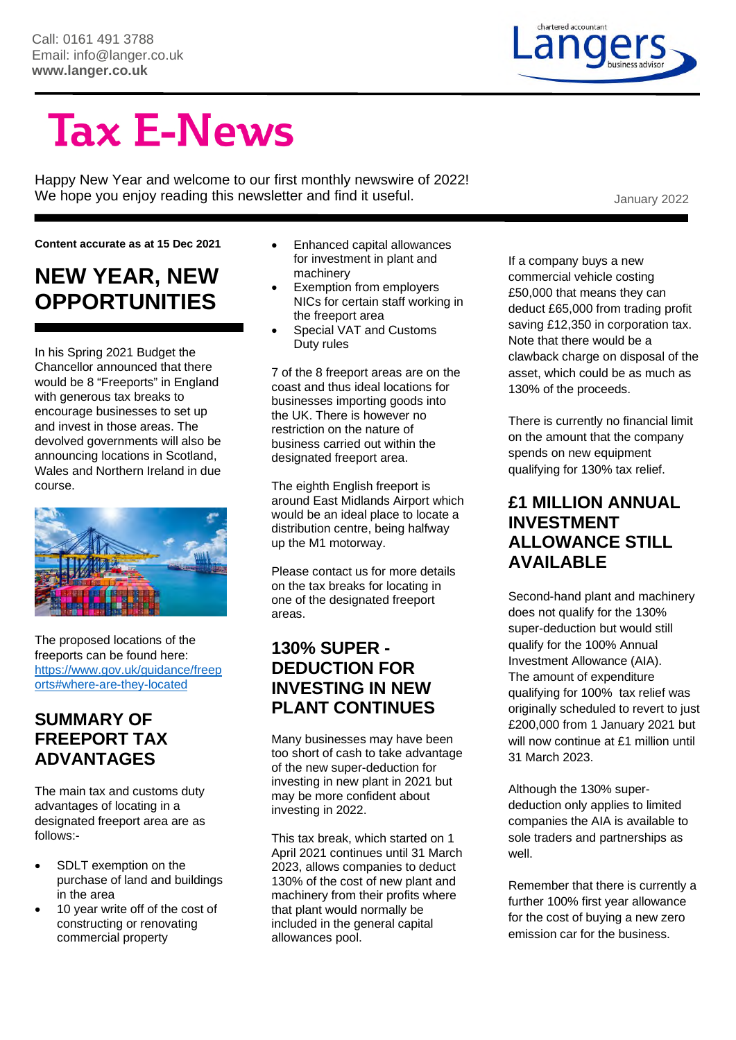# chartered accountant

## **Tax E-News**

Happy New Year and welcome to our first monthly newswire of 2022! We hope you enjoy reading this newsletter and find it useful. We hope you enjoy reading this newsletter and find it useful.

**Content accurate as at 15 Dec 2021** 

#### **NEW YEAR, NEW OPPORTUNITIES**

In his Spring 2021 Budget the Chancellor announced that there would be 8 "Freeports" in England with generous tax breaks to encourage businesses to set up and invest in those areas. The devolved governments will also be announcing locations in Scotland, Wales and Northern Ireland in due course.



The proposed locations of the freeports can be found here: https://www.gov.uk/guidance/freep orts#where-are-they-located

#### **SUMMARY OF FREEPORT TAX ADVANTAGES**

The main tax and customs duty advantages of locating in a designated freeport area are as follows:-

- SDLT exemption on the purchase of land and buildings in the area
- 10 year write off of the cost of constructing or renovating commercial property
- Enhanced capital allowances for investment in plant and machinery
- Exemption from employers NICs for certain staff working in the freeport area
- Special VAT and Customs Duty rules

7 of the 8 freeport areas are on the coast and thus ideal locations for businesses importing goods into the UK. There is however no restriction on the nature of business carried out within the designated freeport area.

The eighth English freeport is around East Midlands Airport which would be an ideal place to locate a distribution centre, being halfway up the M1 motorway.

Please contact us for more details on the tax breaks for locating in one of the designated freeport areas.

#### **130% SUPER - DEDUCTION FOR INVESTING IN NEW PLANT CONTINUES**

Many businesses may have been too short of cash to take advantage of the new super-deduction for investing in new plant in 2021 but may be more confident about investing in 2022.

This tax break, which started on 1 April 2021 continues until 31 March 2023, allows companies to deduct 130% of the cost of new plant and machinery from their profits where that plant would normally be included in the general capital allowances pool.

If a company buys a new commercial vehicle costing £50,000 that means they can deduct £65,000 from trading profit saving £12,350 in corporation tax. Note that there would be a clawback charge on disposal of the asset, which could be as much as 130% of the proceeds.

There is currently no financial limit on the amount that the company spends on new equipment qualifying for 130% tax relief.

#### **£1 MILLION ANNUAL INVESTMENT ALLOWANCE STILL AVAILABLE**

Second-hand plant and machinery does not qualify for the 130% super-deduction but would still qualify for the 100% Annual Investment Allowance (AIA). The amount of expenditure qualifying for 100% tax relief was originally scheduled to revert to just £200,000 from 1 January 2021 but will now continue at £1 million until 31 March 2023.

Although the 130% superdeduction only applies to limited companies the AIA is available to sole traders and partnerships as well.

Remember that there is currently a further 100% first year allowance for the cost of buying a new zero emission car for the business.